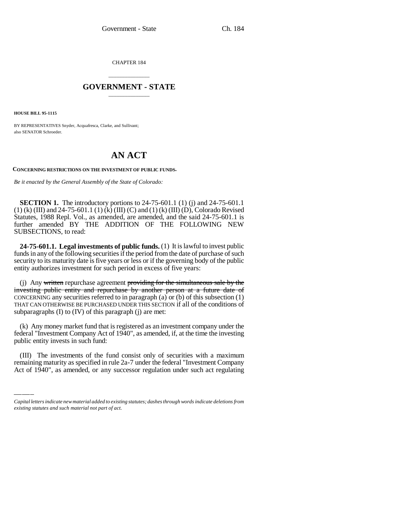CHAPTER 184

## \_\_\_\_\_\_\_\_\_\_\_\_\_\_\_ **GOVERNMENT - STATE** \_\_\_\_\_\_\_\_\_\_\_\_\_\_\_

**HOUSE BILL 95-1115**

BY REPRESENTATIVES Snyder, Acquafresca, Clarke, and Sullivant; also SENATOR Schroeder.

## **AN ACT**

**CONCERNING RESTRICTIONS ON THE INVESTMENT OF PUBLIC FUNDS.**

*Be it enacted by the General Assembly of the State of Colorado:*

**SECTION 1.** The introductory portions to 24-75-601.1 (1) (j) and 24-75-601.1 (1) (k) (III) and 24-75-601.1 (1) (k) (III) (C) and (1) (k) (III) (D), Colorado Revised Statutes, 1988 Repl. Vol., as amended, are amended, and the said 24-75-601.1 is further amended BY THE ADDITION OF THE FOLLOWING NEW SUBSECTIONS, to read:

**24-75-601.1. Legal investments of public funds.** (1) It is lawful to invest public funds in any of the following securities if the period from the date of purchase of such security to its maturity date is five years or less or if the governing body of the public entity authorizes investment for such period in excess of five years:

(j) Any written repurchase agreement providing for the simultaneous sale by the investing public entity and repurchase by another person at a future date of CONCERNING any securities referred to in paragraph (a) or (b) of this subsection (1) THAT CAN OTHERWISE BE PURCHASED UNDER THIS SECTION if all of the conditions of subparagraphs (I) to (IV) of this paragraph (j) are met:

public entity invests in such fund: (k) Any money market fund that is registered as an investment company under the federal "Investment Company Act of 1940", as amended, if, at the time the investing

(III) The investments of the fund consist only of securities with a maximum remaining maturity as specified in rule 2a-7 under the federal "Investment Company Act of 1940", as amended, or any successor regulation under such act regulating

*Capital letters indicate new material added to existing statutes; dashes through words indicate deletions from existing statutes and such material not part of act.*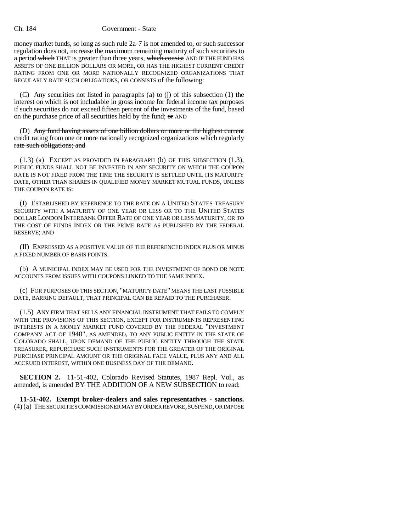## Ch. 184 Government - State

money market funds, so long as such rule 2a-7 is not amended to, or such successor regulation does not, increase the maximum remaining maturity of such securities to a period which THAT is greater than three years, which consist AND IF THE FUND HAS ASSETS OF ONE BILLION DOLLARS OR MORE, OR HAS THE HIGHEST CURRENT CREDIT RATING FROM ONE OR MORE NATIONALLY RECOGNIZED ORGANIZATIONS THAT REGULARLY RATE SUCH OBLIGATIONS, OR CONSISTS of the following:

(C) Any securities not listed in paragraphs (a) to (j) of this subsection (1) the interest on which is not includable in gross income for federal income tax purposes if such securities do not exceed fifteen percent of the investments of the fund, based on the purchase price of all securities held by the fund; or AND

(D) Any fund having assets of one billion dollars or more or the highest current credit rating from one or more nationally recognized organizations which regularly rate such obligations; and

(1.3) (a) EXCEPT AS PROVIDED IN PARAGRAPH (b) OF THIS SUBSECTION (1.3), PUBLIC FUNDS SHALL NOT BE INVESTED IN ANY SECURITY ON WHICH THE COUPON RATE IS NOT FIXED FROM THE TIME THE SECURITY IS SETTLED UNTIL ITS MATURITY DATE, OTHER THAN SHARES IN QUALIFIED MONEY MARKET MUTUAL FUNDS, UNLESS THE COUPON RATE IS:

(I) ESTABLISHED BY REFERENCE TO THE RATE ON A UNITED STATES TREASURY SECURITY WITH A MATURITY OF ONE YEAR OR LESS OR TO THE UNITED STATES DOLLAR LONDON INTERBANK OFFER RATE OF ONE YEAR OR LESS MATURITY, OR TO THE COST OF FUNDS INDEX OR THE PRIME RATE AS PUBLISHED BY THE FEDERAL RESERVE; AND

(II) EXPRESSED AS A POSITIVE VALUE OF THE REFERENCED INDEX PLUS OR MINUS A FIXED NUMBER OF BASIS POINTS.

(b) A MUNICIPAL INDEX MAY BE USED FOR THE INVESTMENT OF BOND OR NOTE ACCOUNTS FROM ISSUES WITH COUPONS LINKED TO THE SAME INDEX.

(c) FOR PURPOSES OF THIS SECTION, "MATURITY DATE" MEANS THE LAST POSSIBLE DATE, BARRING DEFAULT, THAT PRINCIPAL CAN BE REPAID TO THE PURCHASER.

(1.5) ANY FIRM THAT SELLS ANY FINANCIAL INSTRUMENT THAT FAILS TO COMPLY WITH THE PROVISIONS OF THIS SECTION, EXCEPT FOR INSTRUMENTS REPRESENTING INTERESTS IN A MONEY MARKET FUND COVERED BY THE FEDERAL "INVESTMENT COMPANY ACT OF 1940", AS AMENDED, TO ANY PUBLIC ENTITY IN THE STATE OF COLORADO SHALL, UPON DEMAND OF THE PUBLIC ENTITY THROUGH THE STATE TREASURER, REPURCHASE SUCH INSTRUMENTS FOR THE GREATER OF THE ORIGINAL PURCHASE PRINCIPAL AMOUNT OR THE ORIGINAL FACE VALUE, PLUS ANY AND ALL ACCRUED INTEREST, WITHIN ONE BUSINESS DAY OF THE DEMAND.

**SECTION 2.** 11-51-402, Colorado Revised Statutes, 1987 Repl. Vol., as amended, is amended BY THE ADDITION OF A NEW SUBSECTION to read:

**11-51-402. Exempt broker-dealers and sales representatives - sanctions.** (4) (a) THE SECURITIES COMMISSIONER MAY BY ORDER REVOKE, SUSPEND, OR IMPOSE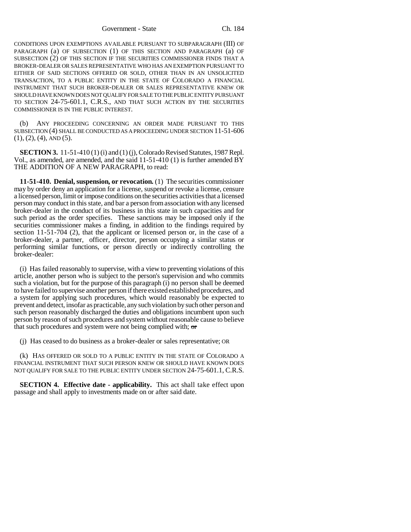Government - State Ch. 184

CONDITIONS UPON EXEMPTIONS AVAILABLE PURSUANT TO SUBPARAGRAPH (III) OF PARAGRAPH (a) OF SUBSECTION (1) OF THIS SECTION AND PARAGRAPH (a) OF SUBSECTION (2) OF THIS SECTION IF THE SECURITIES COMMISSIONER FINDS THAT A BROKER-DEALER OR SALES REPRESENTATIVE WHO HAS AN EXEMPTION PURSUANT TO EITHER OF SAID SECTIONS OFFERED OR SOLD, OTHER THAN IN AN UNSOLICITED TRANSACTION, TO A PUBLIC ENTITY IN THE STATE OF COLORADO A FINANCIAL INSTRUMENT THAT SUCH BROKER-DEALER OR SALES REPRESENTATIVE KNEW OR SHOULD HAVE KNOWN DOES NOT QUALIFY FOR SALE TO THE PUBLIC ENTITY PURSUANT TO SECTION 24-75-601.1, C.R.S., AND THAT SUCH ACTION BY THE SECURITIES COMMISSIONER IS IN THE PUBLIC INTEREST.

(b) ANY PROCEEDING CONCERNING AN ORDER MADE PURSUANT TO THIS SUBSECTION (4) SHALL BE CONDUCTED AS A PROCEEDING UNDER SECTION 11-51-606  $(1), (2), (4),$  AND  $(5).$ 

**SECTION 3.** 11-51-410 (1) (i) and (1) (j), Colorado Revised Statutes, 1987 Repl. Vol., as amended, are amended, and the said 11-51-410 (1) is further amended BY THE ADDITION OF A NEW PARAGRAPH, to read:

**11-51-410. Denial, suspension, or revocation.** (1) The securities commissioner may by order deny an application for a license, suspend or revoke a license, censure a licensed person, limit or impose conditions on the securities activities that a licensed person may conduct in this state, and bar a person from association with any licensed broker-dealer in the conduct of its business in this state in such capacities and for such period as the order specifies. These sanctions may be imposed only if the securities commissioner makes a finding, in addition to the findings required by section 11-51-704 (2), that the applicant or licensed person or, in the case of a broker-dealer, a partner, officer, director, person occupying a similar status or performing similar functions, or person directly or indirectly controlling the broker-dealer:

(i) Has failed reasonably to supervise, with a view to preventing violations of this article, another person who is subject to the person's supervision and who commits such a violation, but for the purpose of this paragraph (i) no person shall be deemed to have failed to supervise another person if there existed established procedures, and a system for applying such procedures, which would reasonably be expected to prevent and detect, insofar as practicable, any such violation by such other person and such person reasonably discharged the duties and obligations incumbent upon such person by reason of such procedures and system without reasonable cause to believe that such procedures and system were not being complied with;  $\sigma$ 

(j) Has ceased to do business as a broker-dealer or sales representative; OR

(k) HAS OFFERED OR SOLD TO A PUBLIC ENTITY IN THE STATE OF COLORADO A FINANCIAL INSTRUMENT THAT SUCH PERSON KNEW OR SHOULD HAVE KNOWN DOES NOT QUALIFY FOR SALE TO THE PUBLIC ENTITY UNDER SECTION 24-75-601.1, C.R.S.

**SECTION 4. Effective date - applicability.** This act shall take effect upon passage and shall apply to investments made on or after said date.